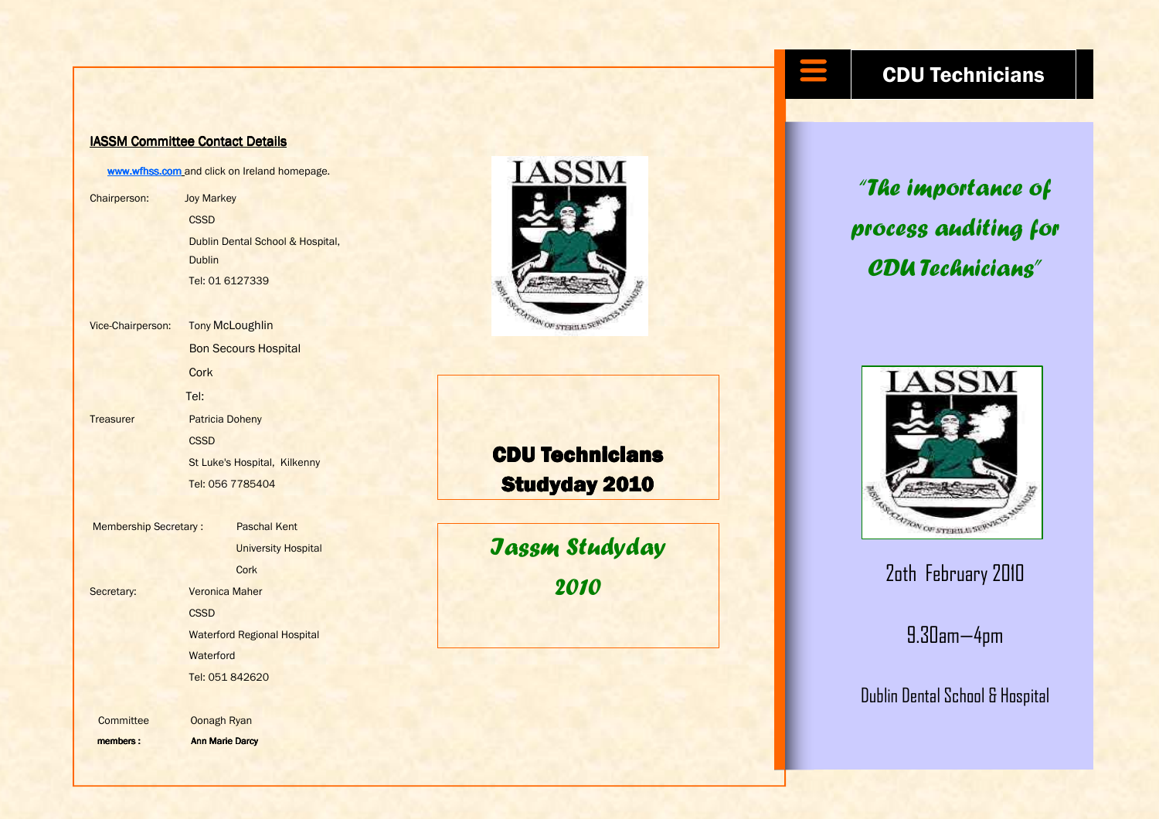## IASSM Committee Contact Details

www.wfhss.com and click on Ireland homepage.

Chairperson: Joy Markey **CSSD**  Dublin Dental School & Hospital, **Dublin** Tel: 01 6127339

Vice-Chairperson: **Tony McLoughlin** Bon Secours Hospital **Cork**  Tel: Treasurer Patricia Doheny **CSSD** 

 St Luke's Hospital, Kilkenny Tel: 056 7785404

Membership Secretary : Paschal Kent University Hospital **Cork** Secretary: **Veronica Maher CSSD**  Waterford Regional Hospital **Waterford** Tel: 051 842620

members : Ann Marie Darcy

Committee Oonagh Ryan



CDU Technicians **Studyday 2010** 

Iassm Studyday 2010 **2010 2010** 



"The importance of process auditing for CDU Technicians"



9.30am—4pm

Dublin Dental School & Hospital